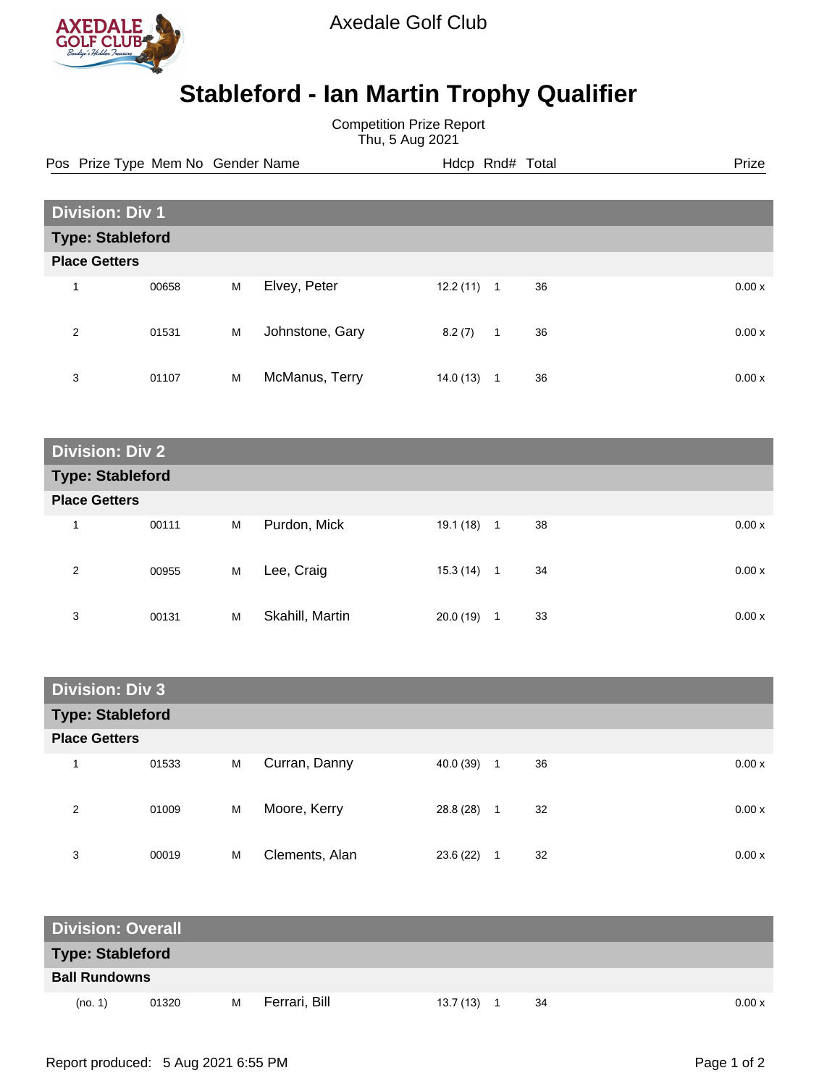

Axedale Golf Club

## **Stableford - Ian Martin Trophy Qualifier**

Competition Prize Report Thu, 5 Aug 2021

Pos Prize Type Mem No Gender Name **Hdcp Rnd# Total** Prize Prize

| <b>Division: Div 1</b>  |       |   |                 |           |                |    |        |
|-------------------------|-------|---|-----------------|-----------|----------------|----|--------|
| <b>Type: Stableford</b> |       |   |                 |           |                |    |        |
| <b>Place Getters</b>    |       |   |                 |           |                |    |        |
| 4                       | 00658 | M | Elvey, Peter    | 12.2 (11) | $\mathbf{1}$   | 36 | 0.00x  |
| 2                       | 01531 | M | Johnstone, Gary | 8.2(7)    | $\overline{1}$ | 36 | 0.00 x |
| 3                       | 01107 | M | McManus, Terry  | 14.0 (13) | -1             | 36 | 0.00 x |

| <b>Division: Div 2</b> |                         |   |                 |              |                |    |       |
|------------------------|-------------------------|---|-----------------|--------------|----------------|----|-------|
|                        | <b>Type: Stableford</b> |   |                 |              |                |    |       |
| <b>Place Getters</b>   |                         |   |                 |              |                |    |       |
| 1                      | 00111                   | M | Purdon, Mick    | $19.1(18)$ 1 |                | 38 | 0.00x |
| 2                      | 00955                   | M | Lee, Craig      | 15.3 (14)    | $\overline{1}$ | 34 | 0.00x |
| 3                      | 00131                   | M | Skahill, Martin | 20.0(19)     | 1              | 33 | 0.00x |

| <b>Division: Div 3</b>  |       |   |                |           |                      |       |
|-------------------------|-------|---|----------------|-----------|----------------------|-------|
| <b>Type: Stableford</b> |       |   |                |           |                      |       |
| <b>Place Getters</b>    |       |   |                |           |                      |       |
| 1                       | 01533 | M | Curran, Danny  | 40.0 (39) | 36<br>$\overline{1}$ | 0.00x |
| 2                       | 01009 | M | Moore, Kerry   | 28.8 (28) | 32<br>1              | 0.00x |
| 3                       | 00019 | M | Clements, Alan | 23.6 (22) | 32<br>1              | 0.00x |

| <b>Division: Overall</b> |       |   |               |           |    |        |
|--------------------------|-------|---|---------------|-----------|----|--------|
| <b>Type: Stableford</b>  |       |   |               |           |    |        |
| <b>Ball Rundowns</b>     |       |   |               |           |    |        |
| (no. 1)                  | 01320 | M | Ferrari, Bill | 13.7 (13) | 34 | 0.00 x |